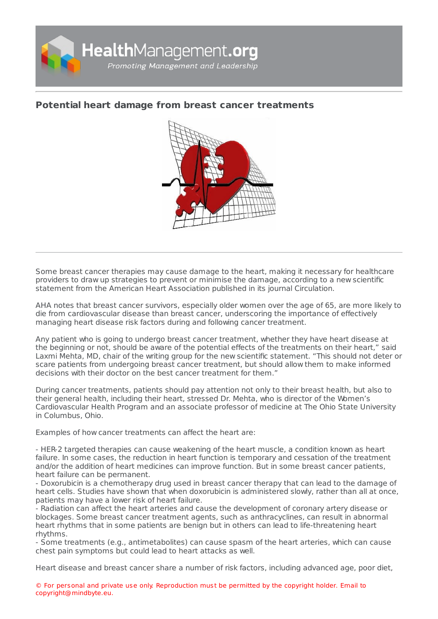

## **Potential heart damage from breast cancer [treatments](https://healthmanagement.org/s/potential-heart-damage-from-breast-cancer-treatments)**



Some breast cancer therapies may cause damage to the heart, making it necessary for healthcare providers to draw up strategies to prevent or minimise the damage, according to a new scientific statement from the American Heart Association published in its journal Circulation.

AHA notes that breast cancer survivors, especially older women over the age of 65, are more likely to die from cardiovascular disease than breast cancer, underscoring the importance of effectively managing heart disease risk factors during and following cancer treatment.

Any patient who is going to undergo breast cancer treatment, whether they have heart disease at the beginning or not, should be aware of the potential effects of the treatments on their heart," said Laxmi Mehta, MD, chair of the writing group for the new scientific statement. "This should not deter or scare patients from undergoing breast cancer treatment, but should allow them to make informed decisions with their doctor on the best cancer treatment for them."

During cancer treatments, patients should pay attention not only to their breast health, but also to their general health, including their heart, stressed Dr. Mehta, who is director of the Women's Cardiovascular Health Program and an associate professor of medicine at The Ohio State University in Columbus, Ohio.

Examples of how cancer treatments can affect the heart are:

- HER-2 targeted therapies can cause weakening of the heart muscle, a condition known as heart failure. In some cases, the reduction in heart function is temporary and cessation of the treatment and/or the addition of heart medicines can improve function. But in some breast cancer patients, heart failure can be permanent.

- Doxorubicin is a chemotherapy drug used in breast cancer therapy that can lead to the damage of heart cells. Studies have shown that when doxorubicin is administered slowly, rather than all at once, patients may have a lower risk of heart failure.

- Radiation can affect the heart arteries and cause the development of coronary artery disease or blockages. Some breast cancer treatment agents, such as anthracyclines, can result in abnormal heart rhythms that in some patients are benign but in others can lead to life-threatening heart rhythms.

- Some treatments (e.g., antimetabolites) can cause spasm of the heart arteries, which can cause chest pain symptoms but could lead to heart attacks as well.

Heart disease and breast cancer share a number of risk factors, including advanced age, poor diet,

© For personal and private use only. Reproduction must be permitted by the copyright holder. Email to copyright@mindbyte.eu.